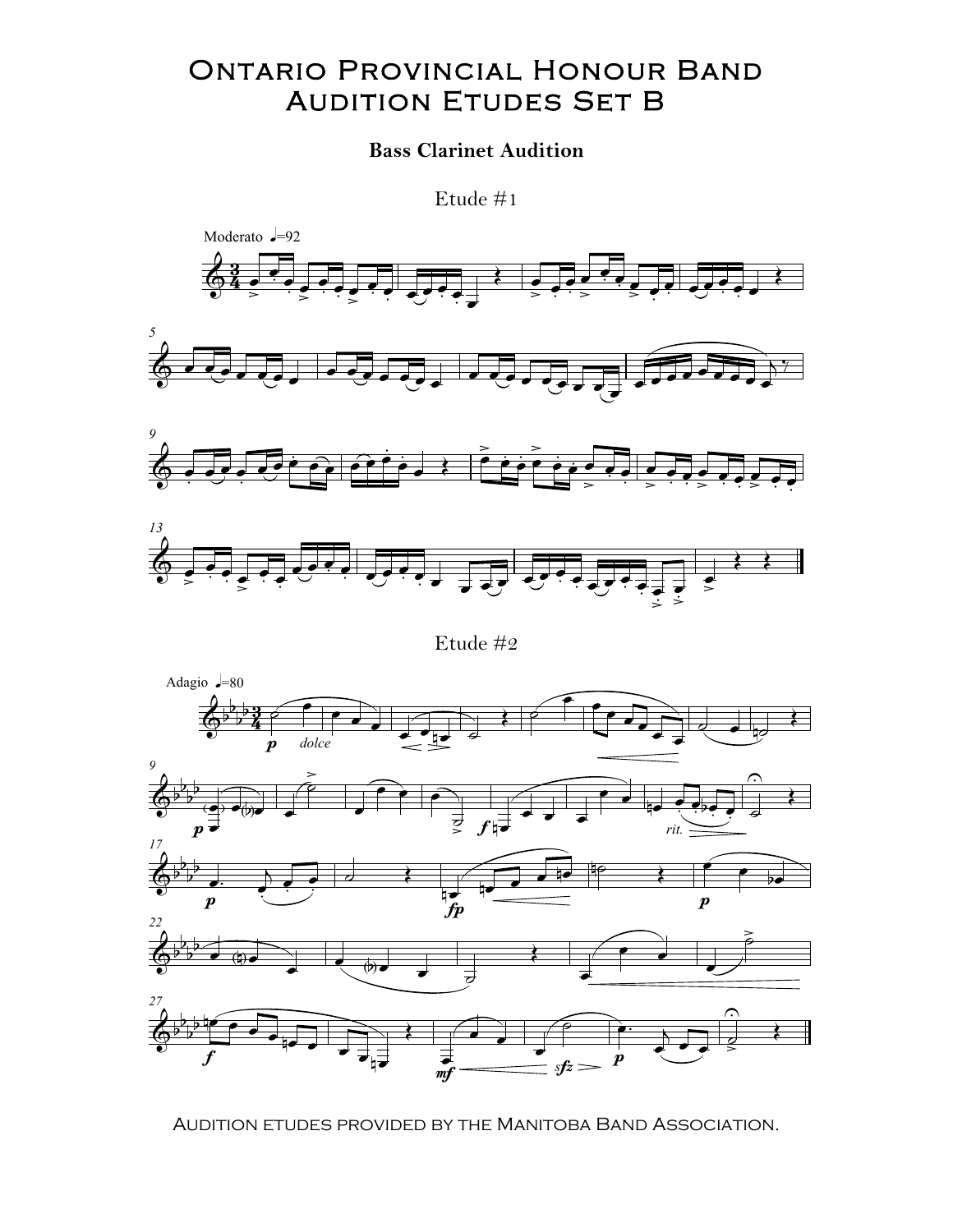### **ONTARIO PROVINCIAL HONOUR BAND AUDITION ETUDES SET B**

#### **Bass Clarinet Audition**

Etude  $#1$ 





AUDITION ETUDES PROVIDED BY THE MANITOBA BAND ASSOCIATION.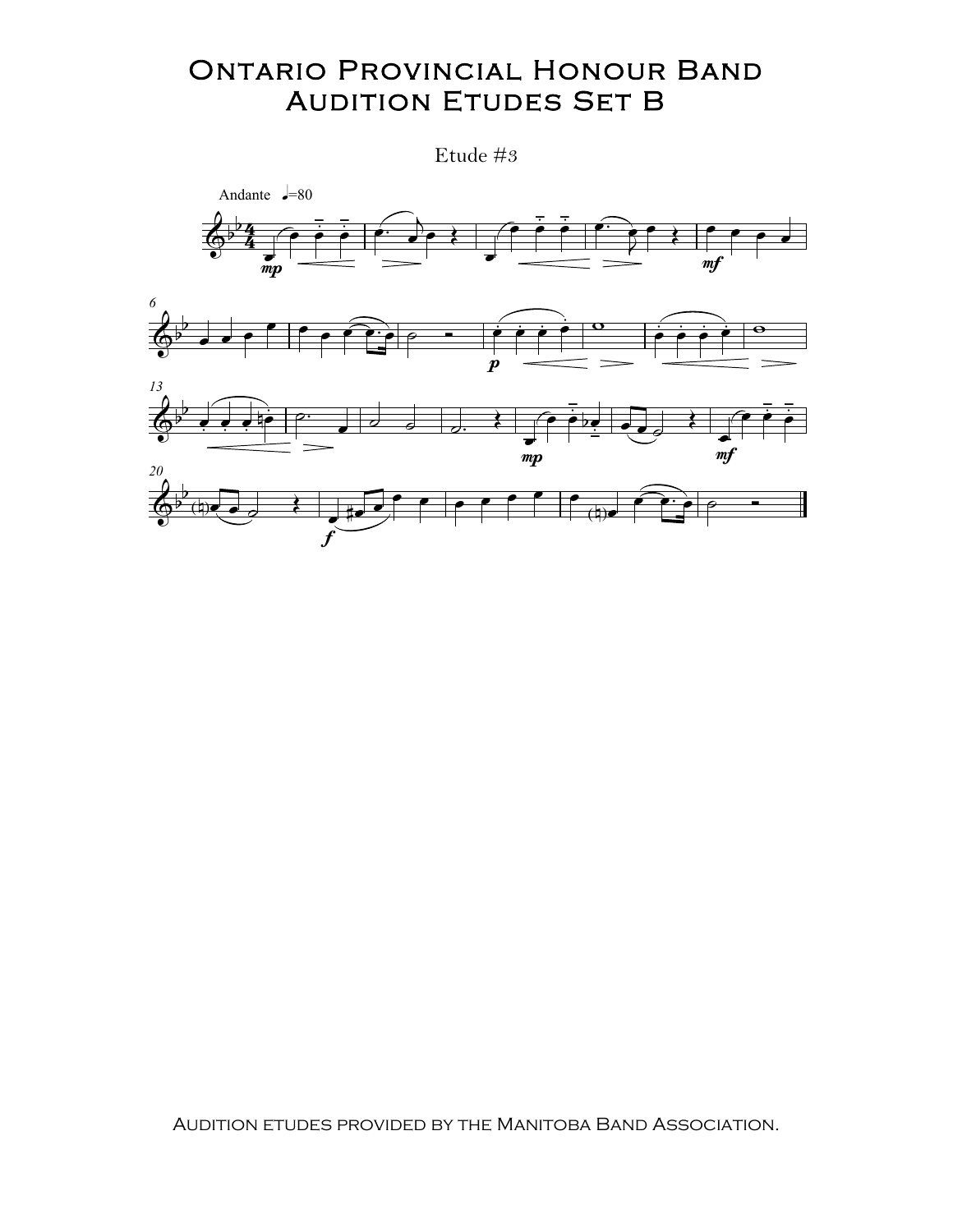## **ONTARIO PROVINCIAL HONOUR BAND AUDITION ETUDES SET B**

Etude #3



AUDITION ETUDES PROVIDED BY THE MANITOBA BAND ASSOCIATION.